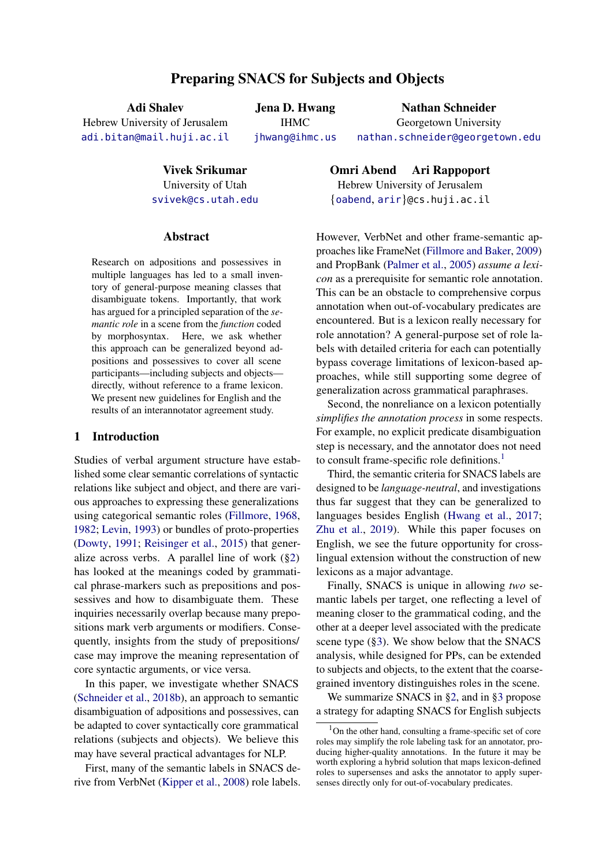# Preparing SNACS for Subjects and Objects

Adi Shalev Hebrew University of Jerusalem

[adi.bitan@mail.huji.ac.il](mailto:adi.bitan@mail.huji.ac.il)

Jena D. Hwang IHMC [jhwang@ihmc.us](mailto:jhwang@ihmc.us)

Nathan Schneider Georgetown University [nathan.schneider@georgetown.edu](mailto:nathan.schneider@georgetown.edu)

Vivek Srikumar

University of Utah [svivek@cs.utah.edu](mailto:svivek@cs.utah.edu)

#### Abstract

Research on adpositions and possessives in multiple languages has led to a small inventory of general-purpose meaning classes that disambiguate tokens. Importantly, that work has argued for a principled separation of the *semantic role* in a scene from the *function* coded by morphosyntax. Here, we ask whether this approach can be generalized beyond adpositions and possessives to cover all scene participants—including subjects and objects directly, without reference to a frame lexicon. We present new guidelines for English and the results of an interannotator agreement study.

# 1 Introduction

Studies of verbal argument structure have established some clear semantic correlations of syntactic relations like subject and object, and there are various approaches to expressing these generalizations using categorical semantic roles [\(Fillmore,](#page-5-0) [1968,](#page-5-0) [1982;](#page-5-1) [Levin,](#page-5-2) [1993\)](#page-5-2) or bundles of proto-properties [\(Dowty,](#page-5-3) [1991;](#page-5-3) [Reisinger et al.,](#page-5-4) [2015\)](#page-5-4) that generalize across verbs. A parallel line of work  $(\S2)$ has looked at the meanings coded by grammatical phrase-markers such as prepositions and possessives and how to disambiguate them. These inquiries necessarily overlap because many prepositions mark verb arguments or modifiers. Consequently, insights from the study of prepositions/ case may improve the meaning representation of core syntactic arguments, or vice versa.

In this paper, we investigate whether SNACS [\(Schneider et al.,](#page-5-5) [2018b\)](#page-5-5), an approach to semantic disambiguation of adpositions and possessives, can be adapted to cover syntactically core grammatical relations (subjects and objects). We believe this may have several practical advantages for NLP.

First, many of the semantic labels in SNACS derive from VerbNet [\(Kipper et al.,](#page-5-6) [2008\)](#page-5-6) role labels. Omri Abend Ari Rappoport Hebrew University of Jerusalem {[oabend](mailto:oabend@cs.huji.ac.il), [arir](mailto:arir@cs.huji.ac.il)}@cs.huji.ac.il

However, VerbNet and other frame-semantic approaches like FrameNet [\(Fillmore and Baker,](#page-5-7) [2009\)](#page-5-7) and PropBank [\(Palmer et al.,](#page-5-8) [2005\)](#page-5-8) *assume a lexicon* as a prerequisite for semantic role annotation. This can be an obstacle to comprehensive corpus annotation when out-of-vocabulary predicates are encountered. But is a lexicon really necessary for role annotation? A general-purpose set of role labels with detailed criteria for each can potentially bypass coverage limitations of lexicon-based approaches, while still supporting some degree of generalization across grammatical paraphrases.

Second, the nonreliance on a lexicon potentially *simplifies the annotation process* in some respects. For example, no explicit predicate disambiguation step is necessary, and the annotator does not need to consult frame-specific role definitions.<sup>[1](#page-0-0)</sup>

Third, the semantic criteria for SNACS labels are designed to be *language-neutral*, and investigations thus far suggest that they can be generalized to languages besides English [\(Hwang et al.,](#page-5-9) [2017;](#page-5-9) [Zhu et al.,](#page-5-10) [2019\)](#page-5-10). While this paper focuses on English, we see the future opportunity for crosslingual extension without the construction of new lexicons as a major advantage.

Finally, SNACS is unique in allowing *two* semantic labels per target, one reflecting a level of meaning closer to the grammatical coding, and the other at a deeper level associated with the predicate scene type ([§3\)](#page-1-1). We show below that the SNACS analysis, while designed for PPs, can be extended to subjects and objects, to the extent that the coarsegrained inventory distinguishes roles in the scene.

We summarize SNACS in [§2,](#page-1-0) and in [§3](#page-1-1) propose a strategy for adapting SNACS for English subjects

<span id="page-0-0"></span> $1$ On the other hand, consulting a frame-specific set of core roles may simplify the role labeling task for an annotator, producing higher-quality annotations. In the future it may be worth exploring a hybrid solution that maps lexicon-defined roles to supersenses and asks the annotator to apply supersenses directly only for out-of-vocabulary predicates.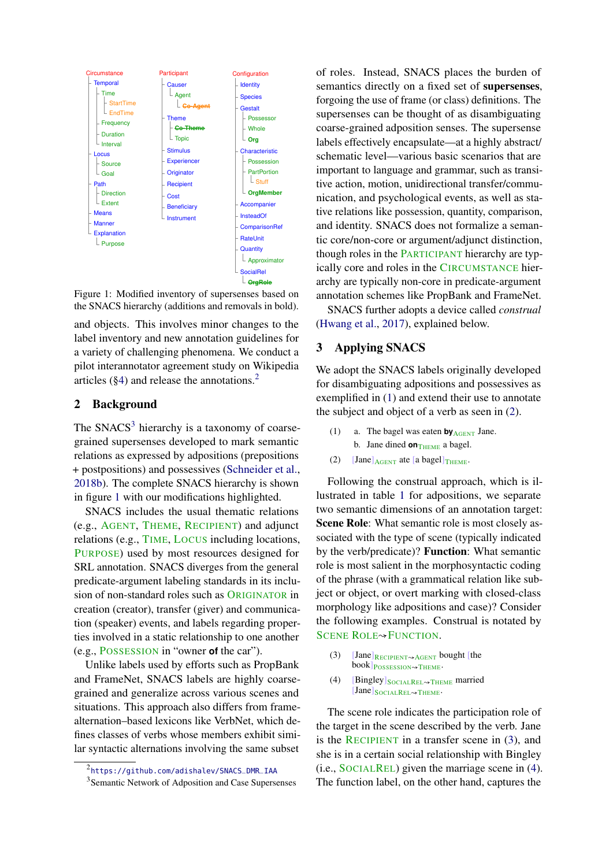<span id="page-1-4"></span>

Figure 1: Modified inventory of supersenses based on the SNACS hierarchy (additions and removals in bold).

and objects. This involves minor changes to the label inventory and new annotation guidelines for a variety of challenging phenomena. We conduct a pilot interannotator agreement study on Wikipedia articles  $(\S4)$  and release the annotations.<sup>[2](#page-1-2)</sup>

## <span id="page-1-0"></span>2 Background

The SNACS<sup>[3](#page-1-3)</sup> hierarchy is a taxonomy of coarsegrained supersenses developed to mark semantic relations as expressed by adpositions (prepositions + postpositions) and possessives [\(Schneider et al.,](#page-5-5) [2018b\)](#page-5-5). The complete SNACS hierarchy is shown in figure [1](#page-1-4) with our modifications highlighted.

SNACS includes the usual thematic relations (e.g., AGENT, THEME, RECIPIENT) and adjunct relations (e.g., TIME, LOCUS including locations, PURPOSE) used by most resources designed for SRL annotation. SNACS diverges from the general predicate-argument labeling standards in its inclusion of non-standard roles such as ORIGINATOR in creation (creator), transfer (giver) and communication (speaker) events, and labels regarding properties involved in a static relationship to one another (e.g., POSSESSION in "owner **of** the car").

Unlike labels used by efforts such as PropBank and FrameNet, SNACS labels are highly coarsegrained and generalize across various scenes and situations. This approach also differs from framealternation–based lexicons like VerbNet, which defines classes of verbs whose members exhibit similar syntactic alternations involving the same subset

of roles. Instead, SNACS places the burden of semantics directly on a fixed set of supersenses, forgoing the use of frame (or class) definitions. The supersenses can be thought of as disambiguating coarse-grained adposition senses. The supersense labels effectively encapsulate—at a highly abstract/ schematic level—various basic scenarios that are important to language and grammar, such as transitive action, motion, unidirectional transfer/communication, and psychological events, as well as stative relations like possession, quantity, comparison, and identity. SNACS does not formalize a semantic core/non-core or argument/adjunct distinction, though roles in the PARTICIPANT hierarchy are typically core and roles in the CIRCUMSTANCE hierarchy are typically non-core in predicate-argument annotation schemes like PropBank and FrameNet.

SNACS further adopts a device called *construal* [\(Hwang et al.,](#page-5-9) [2017\)](#page-5-9), explained below.

# <span id="page-1-1"></span>3 Applying SNACS

We adopt the SNACS labels originally developed for disambiguating adpositions and possessives as exemplified in [\(1\)](#page-1-5) and extend their use to annotate the subject and object of a verb as seen in [\(2\)](#page-1-6).

- <span id="page-1-5"></span>(1) a. The bagel was eaten **by**AGENT Jane. b. Jane dined **on**THEME a bagel.
- <span id="page-1-6"></span>(2) [Jane] $_{\text{AGENT}}$  ate [a bagel] $_{\text{THEME}}$ .

Following the construal approach, which is illustrated in table [1](#page-2-0) for adpositions, we separate two semantic dimensions of an annotation target: Scene Role: What semantic role is most closely associated with the type of scene (typically indicated by the verb/predicate)? Function: What semantic role is most salient in the morphosyntactic coding of the phrase (with a grammatical relation like subject or object, or overt marking with closed-class morphology like adpositions and case)? Consider the following examples. Construal is notated by SCENE ROLE<sup>→</sup>FUNCTION.

- <span id="page-1-7"></span>(3)  $[Jane]$ <sub>RECIPIENT</sub> bought [the book] POSSESSION ~~ THEME.
- <span id="page-1-8"></span>(4) [Bingley] $_{SOCIALREL \rightarrow THEME}$  married [Jane]SOCIALREL*N*THEME.

The scene role indicates the participation role of the target in the scene described by the verb. Jane is the RECIPIENT in a transfer scene in [\(3\)](#page-1-7), and she is in a certain social relationship with Bingley (i.e., SOCIALREL) given the marriage scene in [\(4\)](#page-1-8). The function label, on the other hand, captures the

<span id="page-1-2"></span><sup>2</sup> [https://github.com/adishalev/SNACS\\_DMR\\_IAA](https://github.com/adishalev/SNACS_DMR_IAA)

<span id="page-1-3"></span><sup>&</sup>lt;sup>3</sup> Semantic Network of Adposition and Case Supersenses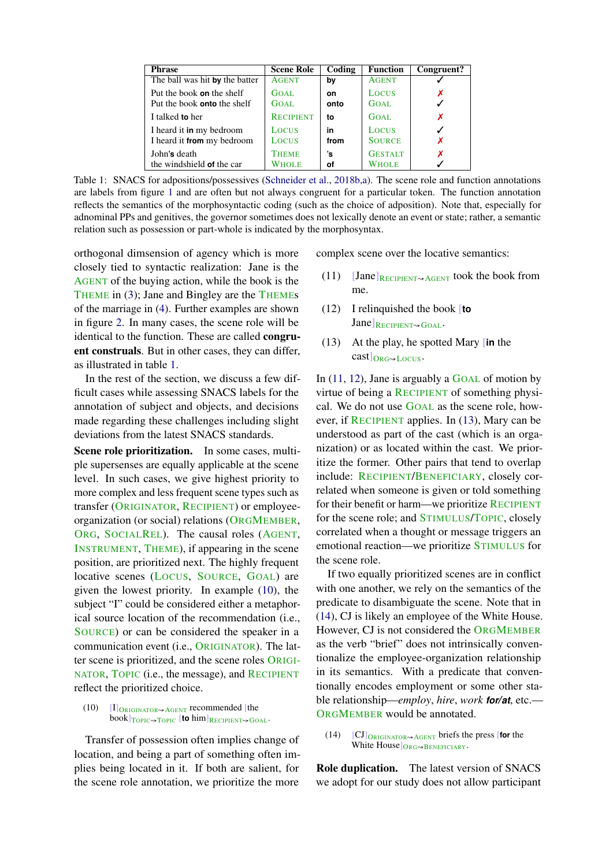<span id="page-2-0"></span>

| <b>Phrase</b>                      | <b>Scene Role</b> | Coding | <b>Function</b> | Congruent? |
|------------------------------------|-------------------|--------|-----------------|------------|
| The ball was hit by the batter     | <b>AGENT</b>      | bv     | <b>AGENT</b>    |            |
| Put the book <b>on</b> the shelf   | GOAL.             | on     | LOCUS           | х          |
| Put the book <b>onto</b> the shelf | GOAL.             | onto   | GOAL.           |            |
| I talked to her                    | <b>RECIPIENT</b>  | to     | GOAL.           | X          |
| I heard it in my bedroom           | <b>LOCUS</b>      | in     | <b>LOCUS</b>    |            |
| I heard it from my bedroom         | <b>LOCUS</b>      | from   | <b>SOURCE</b>   | X          |
| John's death                       | <b>THEME</b>      | 's     | <b>GESTALT</b>  | Х          |
| the windshield of the car          | <b>WHOLE</b>      | οf     | <b>WHOLE</b>    |            |

Table 1: SNACS for adpositions/possessives [\(Schneider et al.,](#page-5-5) [2018b,](#page-5-5)[a\)](#page-5-11). The scene role and function annotations are labels from figure [1](#page-1-4) and are often but not always congruent for a particular token. The function annotation reflects the semantics of the morphosyntactic coding (such as the choice of adposition). Note that, especially for adnominal PPs and genitives, the governor sometimes does not lexically denote an event or state; rather, a semantic relation such as possession or part-whole is indicated by the morphosyntax.

orthogonal dimsension of agency which is more closely tied to syntactic realization: Jane is the AGENT of the buying action, while the book is the THEME in [\(3\)](#page-1-7); Jane and Bingley are the THEMEs of the marriage in [\(4\)](#page-1-8). Further examples are shown in figure [2.](#page-3-1) In many cases, the scene role will be identical to the function. These are called congruent construals. But in other cases, they can differ, as illustrated in table [1.](#page-2-0)

In the rest of the section, we discuss a few difficult cases while assessing SNACS labels for the annotation of subject and objects, and decisions made regarding these challenges including slight deviations from the latest SNACS standards.

Scene role prioritization. In some cases, multiple supersenses are equally applicable at the scene level. In such cases, we give highest priority to more complex and less frequent scene types such as transfer (ORIGINATOR, RECIPIENT) or employeeorganization (or social) relations (ORGMEMBER, ORG, SOCIALREL). The causal roles (AGENT, INSTRUMENT, THEME), if appearing in the scene position, are prioritized next. The highly frequent locative scenes (LOCUS, SOURCE, GOAL) are given the lowest priority. In example [\(10\)](#page-2-1), the subject "I" could be considered either a metaphorical source location of the recommendation (i.e., SOURCE) or can be considered the speaker in a communication event (i.e., ORIGINATOR). The latter scene is prioritized, and the scene roles ORIGI-NATOR, TOPIC (i.e., the message), and RECIPIENT reflect the prioritized choice.

<span id="page-2-1"></span> $(10)$  [I]<sub>ORIGINATOR</sub> AGENT recommended [the **book**] TOPIC→TOPIC **[to** him] RECIPIENT→GOAL.

Transfer of possession often implies change of location, and being a part of something often implies being located in it. If both are salient, for the scene role annotation, we prioritize the more

complex scene over the locative semantics:

- <span id="page-2-2"></span>(11) [Jane] $_{RECIPIENT\rightsquigarrow AGENT}$  took the book from me.
- <span id="page-2-3"></span>(12) I relinquished the book [**to** Jane<sup></sup>RECIPIENT<sup>N</sup>GOAL.
- <span id="page-2-4"></span>(13) At the play, he spotted Mary [**in** the  $\text{cast}$ <sub>ORG</sub> $\sim$ Locus</sub>.

In  $(11, 12)$  $(11, 12)$  $(11, 12)$ , Jane is arguably a GOAL of motion by virtue of being a RECIPIENT of something physical. We do not use GOAL as the scene role, however, if RECIPIENT applies. In [\(13\)](#page-2-4), Mary can be understood as part of the cast (which is an organization) or as located within the cast. We prioritize the former. Other pairs that tend to overlap include: RECIPIENT/BENEFICIARY, closely correlated when someone is given or told something for their benefit or harm—we prioritize RECIPIENT for the scene role; and STIMULUS/TOPIC, closely correlated when a thought or message triggers an emotional reaction—we prioritize STIMULUS for the scene role.

If two equally prioritized scenes are in conflict with one another, we rely on the semantics of the predicate to disambiguate the scene. Note that in [\(14\)](#page-2-5), CJ is likely an employee of the White House. However, CJ is not considered the ORGMEMBER as the verb "brief" does not intrinsically conventionalize the employee-organization relationship in its semantics. With a predicate that conventionally encodes employment or some other stable relationship—*employ*, *hire*, *work for/at*, etc.— ORGMEMBER would be annotated.

<span id="page-2-5"></span>(14) [CJ]ORIGINATOR↝AGENT briefs the press [**for** the White House ORG NBENEFICIARY.

Role duplication. The latest version of SNACS we adopt for our study does not allow participant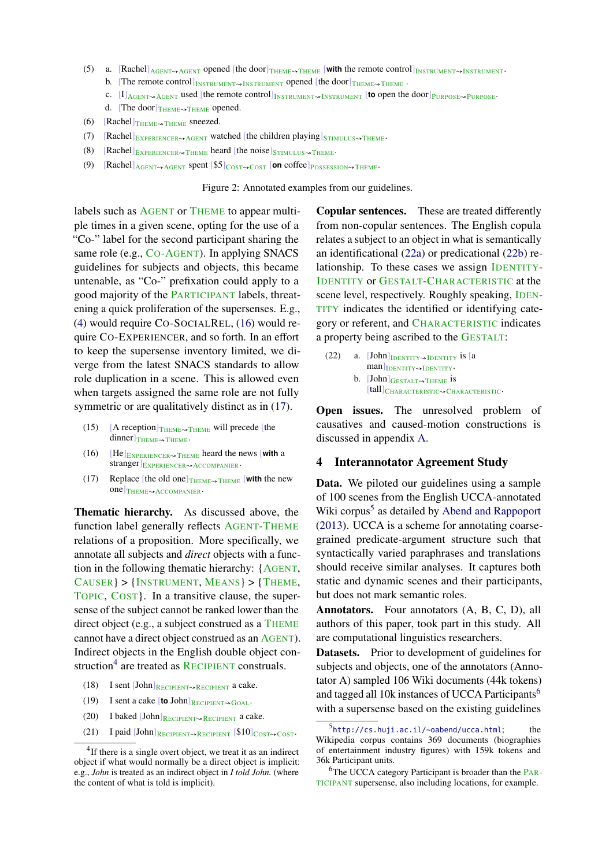- <span id="page-3-1"></span>(5) a.  $[Rachel]_{AGENT \rightarrow AGENT}$  opened [the door] $_{THEME}$  **with** the remote control] $_{INSTRUMENT \rightarrow INSTRUMENT}$ 
	- b. [The remote control] $_{INSTRUMENT\rightsquigarrow INSTRUMENT}$  opened [the door] $_{THEME\rightsquigarrow THENE}$ .
	- C. [I] AGENT<sub><sup>◆AGENT</sub> used [the remote control]<sub>INSTRUMENT</sub> <sub>></sub>INSTRUMENT</sub> [to open the door]<sub>PURPOSE</sub>.</sub></sup>
	- d. [The door] $_{\text{THEME}\rightarrow\text{THEME}}$  opened.
- (6) [Rachel] $_{\text{THEME}\rightarrow\text{THEME}}$  sneezed.
- (7) [Rachel] $_{\text{EXPERIENCER}\rightarrow \text{AGENT}}$  watched [the children playing] $_{\text{STIMULUS}\rightarrow \text{THEME}}$ .
- (8)  $[Rachel]_{EXPERIENCE R \rightarrow THENE}$  heard [the noise] $_{STIMULUS \rightarrow THENE}$ .
- (9) [Rachel]<sub>AGENT</sub><sub>*N*GENT</sub> spent [\$5]<sub>COST→COST</sub> [on coffee]<sub>POSSESSION→THEME</sub>.

Figure 2: Annotated examples from our guidelines.

labels such as AGENT or THEME to appear multiple times in a given scene, opting for the use of a "Co-" label for the second participant sharing the same role (e.g., CO-AGENT). In applying SNACS guidelines for subjects and objects, this became untenable, as "Co-" prefixation could apply to a good majority of the PARTICIPANT labels, threatening a quick proliferation of the supersenses. E.g., [\(4\)](#page-1-8) would require CO-SOCIALREL, [\(16\)](#page-3-2) would require CO-EXPERIENCER, and so forth. In an effort to keep the supersense inventory limited, we diverge from the latest SNACS standards to allow role duplication in a scene. This is allowed even when targets assigned the same role are not fully symmetric or are qualitatively distinct as in  $(17)$ .

- (15) [A reception] $_{\text{THEME}\rightarrow\text{THEME}}$  will precede [the  $dimner|_{THEME \rightarrow THEME}$ .
- <span id="page-3-2"></span> $(16)$  [He] $_{EXPERIENCER \rightarrow THEME}$  heard the news [with a stranger]<sub>EXPERIENCER</sub><sub>«ACCOMPANIER</sub>
- <span id="page-3-3"></span>(17) Replace [the old one] $_{\text{THEME}\rightarrow\text{THEME}}$  [with the new one]<sub>THEME</sub><sub>→ACCOMPANIER</sub>.

Thematic hierarchy. As discussed above, the function label generally reflects AGENT-THEME relations of a proposition. More specifically, we annotate all subjects and *direct* objects with a function in the following thematic hierarchy: {AGENT, CAUSER} > {INSTRUMENT, MEANS} > {THEME, TOPIC, COST}. In a transitive clause, the supersense of the subject cannot be ranked lower than the direct object (e.g., a subject construed as a THEME cannot have a direct object construed as an AGENT). Indirect objects in the English double object con-struction<sup>[4](#page-3-4)</sup> are treated as RECIPIENT construals.

- (18) I sent  $[John]$ <sub>RECIPIENT</sub> a cake.
- (19) I sent a cake  $[$  **to** John $]$ <sub>RECIPIENT $\rightsquigarrow$ GOAL $\cdot$ </sub>
- (20) I baked  $\text{John}_{\text{RECIPIENT}\rightarrow \text{RECIPIENT}}$  a cake.
- (21) I paid [John]RECIPIENT→RECIPIENT [\$10]COST→COST.

Copular sentences. These are treated differently from non-copular sentences. The English copula relates a subject to an object in what is semantically an identificational [\(22a\)](#page-3-5) or predicational [\(22b\)](#page-3-6) relationship. To these cases we assign IDENTITY-IDENTITY or GESTALT-CHARACTERISTIC at the scene level, respectively. Roughly speaking, IDEN-TITY indicates the identified or identifying category or referent, and CHARACTERISTIC indicates a property being ascribed to the GESTALT:

<span id="page-3-6"></span><span id="page-3-5"></span>(22) a.  $[John]$ <sub>IDENTITY</sub> is [a man]IDENTITY<sub>~</sub>IDENTITY. b.  $[John]$ GESTALT $\rightsquigarrow$ THEME is [tall]<sub>CHARACTERISTIC</sub> CHARACTERISTIC.

Open issues. The unresolved problem of causatives and caused-motion constructions is discussed in appendix [A.](#page-6-0)

#### <span id="page-3-0"></span>4 Interannotator Agreement Study

Data. We piloted our guidelines using a sample of 100 scenes from the English UCCA-annotated Wiki corpus<sup>[5](#page-3-7)</sup> as detailed by [Abend and Rappoport](#page-5-12) [\(2013\)](#page-5-12). UCCA is a scheme for annotating coarsegrained predicate-argument structure such that syntactically varied paraphrases and translations should receive similar analyses. It captures both static and dynamic scenes and their participants, but does not mark semantic roles.

Annotators. Four annotators (A, B, C, D), all authors of this paper, took part in this study. All are computational linguistics researchers.

Datasets. Prior to development of guidelines for subjects and objects, one of the annotators (Annotator A) sampled 106 Wiki documents (44k tokens) and tagged all 10k instances of UCCA Participants<sup>[6](#page-3-8)</sup> with a supersense based on the existing guidelines

<span id="page-3-4"></span> ${}^{4}$ If there is a single overt object, we treat it as an indirect object if what would normally be a direct object is implicit: e.g., *John* is treated as an indirect object in *I told John.* (where the content of what is told is implicit).

<span id="page-3-7"></span><sup>&</sup>lt;sup>5</sup><http://cs.huji.ac.il/~oabend/ucca.html>; the Wikipedia corpus contains 369 documents (biographies of entertainment industry figures) with 159k tokens and 36k Participant units.

<span id="page-3-8"></span><sup>&</sup>lt;sup>6</sup>The UCCA category Participant is broader than the PAR-TICIPANT supersense, also including locations, for example.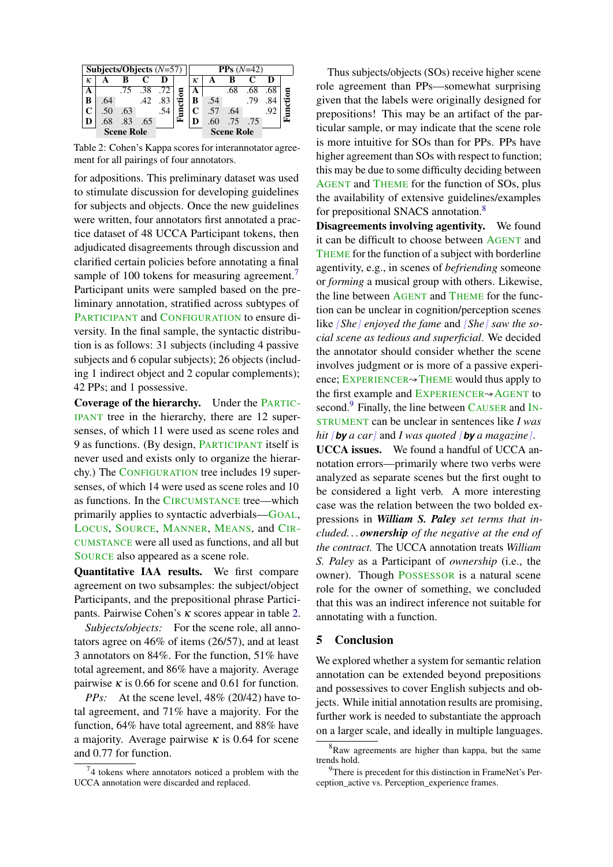<span id="page-4-1"></span>

| Subjects/Objects $(N=57)$ |                   |     |     |     | $PPs(N=42)$ |                   |     |     |     |     |  |
|---------------------------|-------------------|-----|-----|-----|-------------|-------------------|-----|-----|-----|-----|--|
| ĸ                         |                   |     |     |     |             | к                 |     |     |     |     |  |
|                           |                   | .75 | .38 | .72 |             | А                 |     | .68 | .68 | .68 |  |
| В                         | .64               |     | .42 |     |             | в                 | .54 |     |     |     |  |
|                           | .50               | .63 |     |     |             | C                 |     | .64 |     |     |  |
|                           | .68               | .83 | .65 |     |             |                   | .60 | .75 | .75 |     |  |
|                           | <b>Scene Role</b> |     |     |     |             | <b>Scene Role</b> |     |     |     |     |  |

Table 2: Cohen's Kappa scores for interannotator agreement for all pairings of four annotators.

for adpositions. This preliminary dataset was used to stimulate discussion for developing guidelines for subjects and objects. Once the new guidelines were written, four annotators first annotated a practice dataset of 48 UCCA Participant tokens, then adjudicated disagreements through discussion and clarified certain policies before annotating a final sample of 100 tokens for measuring agreement.<sup>[7](#page-4-0)</sup> Participant units were sampled based on the preliminary annotation, stratified across subtypes of PARTICIPANT and CONFIGURATION to ensure diversity. In the final sample, the syntactic distribution is as follows: 31 subjects (including 4 passive subjects and 6 copular subjects); 26 objects (including 1 indirect object and 2 copular complements); 42 PPs; and 1 possessive.

Coverage of the hierarchy. Under the PARTIC-IPANT tree in the hierarchy, there are 12 supersenses, of which 11 were used as scene roles and 9 as functions. (By design, PARTICIPANT itself is never used and exists only to organize the hierarchy.) The CONFIGURATION tree includes 19 supersenses, of which 14 were used as scene roles and 10 as functions. In the CIRCUMSTANCE tree—which primarily applies to syntactic adverbials—GOAL, LOCUS, SOURCE, MANNER, MEANS, and CIR-CUMSTANCE were all used as functions, and all but SOURCE also appeared as a scene role.

Quantitative IAA results. We first compare agreement on two subsamples: the subject/object Participants, and the prepositional phrase Participants. Pairwise Cohen's κ scores appear in table [2.](#page-4-1)

*Subjects/objects:* For the scene role, all annotators agree on 46% of items (26/57), and at least 3 annotators on 84%. For the function, 51% have total agreement, and 86% have a majority. Average pairwise  $\kappa$  is 0.66 for scene and 0.61 for function.

*PPs:* At the scene level, 48% (20/42) have total agreement, and 71% have a majority. For the function, 64% have total agreement, and 88% have a majority. Average pairwise  $\kappa$  is 0.64 for scene and 0.77 for function.

Thus subjects/objects (SOs) receive higher scene role agreement than PPs—somewhat surprising given that the labels were originally designed for prepositions! This may be an artifact of the particular sample, or may indicate that the scene role is more intuitive for SOs than for PPs. PPs have higher agreement than SOs with respect to function; this may be due to some difficulty deciding between AGENT and THEME for the function of SOs, plus the availability of extensive guidelines/examples for prepositional SNACS annotation.<sup>[8](#page-4-2)</sup>

Disagreements involving agentivity. We found it can be difficult to choose between AGENT and THEME for the function of a subject with borderline agentivity, e.g., in scenes of *befriending* someone or *forming* a musical group with others. Likewise, the line between AGENT and THEME for the function can be unclear in cognition/perception scenes like *[She] enjoyed the fame* and *[She] saw the social scene as tedious and superficial*. We decided the annotator should consider whether the scene involves judgment or is more of a passive experience; EXPERIENCER $\rightarrow$ THEME would thus apply to the first example and EXPERIENCER<sup>√</sup>AGENT to second.<sup>[9](#page-4-3)</sup> Finally, the line between CAUSER and IN-STRUMENT can be unclear in sentences like *I was hit [by a car]* and *I was quoted [by a magazine]*.

UCCA issues. We found a handful of UCCA annotation errors—primarily where two verbs were analyzed as separate scenes but the first ought to be considered a light verb. A more interesting case was the relation between the two bolded expressions in *William S. Paley set terms that included. . . ownership of the negative at the end of the contract.* The UCCA annotation treats *William S. Paley* as a Participant of *ownership* (i.e., the owner). Though POSSESSOR is a natural scene role for the owner of something, we concluded that this was an indirect inference not suitable for annotating with a function.

### 5 Conclusion

We explored whether a system for semantic relation annotation can be extended beyond prepositions and possessives to cover English subjects and objects. While initial annotation results are promising, further work is needed to substantiate the approach on a larger scale, and ideally in multiple languages.

<span id="page-4-0"></span> $74$  tokens where annotators noticed a problem with the UCCA annotation were discarded and replaced.

<span id="page-4-2"></span> ${}^{8}$ Raw agreements are higher than kappa, but the same trends hold.

<span id="page-4-3"></span><sup>9</sup>There is precedent for this distinction in FrameNet's Perception\_active vs. Perception\_experience frames.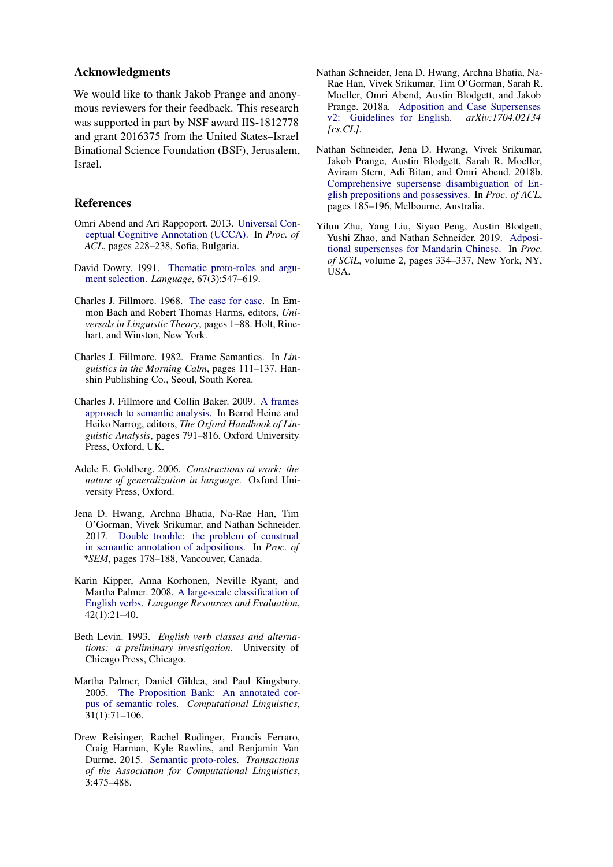### Acknowledgments

We would like to thank Jakob Prange and anonymous reviewers for their feedback. This research was supported in part by NSF award IIS-1812778 and grant 2016375 from the United States–Israel Binational Science Foundation (BSF), Jerusalem, Israel.

### **References**

- <span id="page-5-12"></span>Omri Abend and Ari Rappoport. 2013. [Universal Con](http://www.aclweb.org/anthology/P13-1023)[ceptual Cognitive Annotation \(UCCA\).](http://www.aclweb.org/anthology/P13-1023) In *Proc. of ACL*, pages 228–238, Sofia, Bulgaria.
- <span id="page-5-3"></span>David Dowty. 1991. [Thematic proto-roles and argu](http://www.jstor.org/stable/415037)[ment selection.](http://www.jstor.org/stable/415037) *Language*, 67(3):547–619.
- <span id="page-5-0"></span>Charles J. Fillmore. 1968. [The case for case.](http://www.linguistics.berkeley.edu/~syntax-circle/syntax-group/spr08/fillmore.pdf) In Emmon Bach and Robert Thomas Harms, editors, *Universals in Linguistic Theory*, pages 1–88. Holt, Rinehart, and Winston, New York.
- <span id="page-5-1"></span>Charles J. Fillmore. 1982. Frame Semantics. In *Linguistics in the Morning Calm*, pages 111–137. Hanshin Publishing Co., Seoul, South Korea.
- <span id="page-5-7"></span>Charles J. Fillmore and Collin Baker. 2009. [A frames](http://lingo.stanford.edu/sag/papers/Fillmore-Baker-2011.pdf) [approach to semantic analysis.](http://lingo.stanford.edu/sag/papers/Fillmore-Baker-2011.pdf) In Bernd Heine and Heiko Narrog, editors, *The Oxford Handbook of Linguistic Analysis*, pages 791–816. Oxford University Press, Oxford, UK.
- <span id="page-5-13"></span>Adele E. Goldberg. 2006. *Constructions at work: the nature of generalization in language*. Oxford University Press, Oxford.
- <span id="page-5-9"></span>Jena D. Hwang, Archna Bhatia, Na-Rae Han, Tim O'Gorman, Vivek Srikumar, and Nathan Schneider. 2017. [Double trouble: the problem of construal](http://www.aclweb.org/anthology/S17-1022) [in semantic annotation of adpositions.](http://www.aclweb.org/anthology/S17-1022) In *Proc. of \*SEM*, pages 178–188, Vancouver, Canada.
- <span id="page-5-6"></span>Karin Kipper, Anna Korhonen, Neville Ryant, and Martha Palmer. 2008. [A large-scale classification of](http://link.springer.com/article/10.1007/s10579-007-9048-2) [English verbs.](http://link.springer.com/article/10.1007/s10579-007-9048-2) *Language Resources and Evaluation*, 42(1):21–40.
- <span id="page-5-2"></span>Beth Levin. 1993. *English verb classes and alternations: a preliminary investigation*. University of Chicago Press, Chicago.
- <span id="page-5-8"></span>Martha Palmer, Daniel Gildea, and Paul Kingsbury. 2005. [The Proposition Bank: An annotated cor](http://dx.doi.org/10.1162/0891201053630264)[pus of semantic roles.](http://dx.doi.org/10.1162/0891201053630264) *Computational Linguistics*, 31(1):71–106.
- <span id="page-5-4"></span>Drew Reisinger, Rachel Rudinger, Francis Ferraro, Craig Harman, Kyle Rawlins, and Benjamin Van Durme. 2015. [Semantic proto-roles.](https://www.aclweb.org/anthology/Q15-1034) *Transactions of the Association for Computational Linguistics*, 3:475–488.
- <span id="page-5-11"></span>Nathan Schneider, Jena D. Hwang, Archna Bhatia, Na-Rae Han, Vivek Srikumar, Tim O'Gorman, Sarah R. Moeller, Omri Abend, Austin Blodgett, and Jakob Prange. 2018a. [Adposition and Case Supersenses](https://arxiv.org/abs/1704.02134) [v2: Guidelines for English.](https://arxiv.org/abs/1704.02134) *arXiv:1704.02134 [cs.CL]*.
- <span id="page-5-5"></span>Nathan Schneider, Jena D. Hwang, Vivek Srikumar, Jakob Prange, Austin Blodgett, Sarah R. Moeller, Aviram Stern, Adi Bitan, and Omri Abend. 2018b. [Comprehensive supersense disambiguation of En](http://aclweb.org/anthology/P18-1018)[glish prepositions and possessives.](http://aclweb.org/anthology/P18-1018) In *Proc. of ACL*, pages 185–196, Melbourne, Australia.
- <span id="page-5-10"></span>Yilun Zhu, Yang Liu, Siyao Peng, Austin Blodgett, Yushi Zhao, and Nathan Schneider. 2019. [Adposi](https://scholarworks.umass.edu/scil/vol2/iss1/40)[tional supersenses for Mandarin Chinese.](https://scholarworks.umass.edu/scil/vol2/iss1/40) In *Proc. of SCiL*, volume 2, pages 334–337, New York, NY, USA.